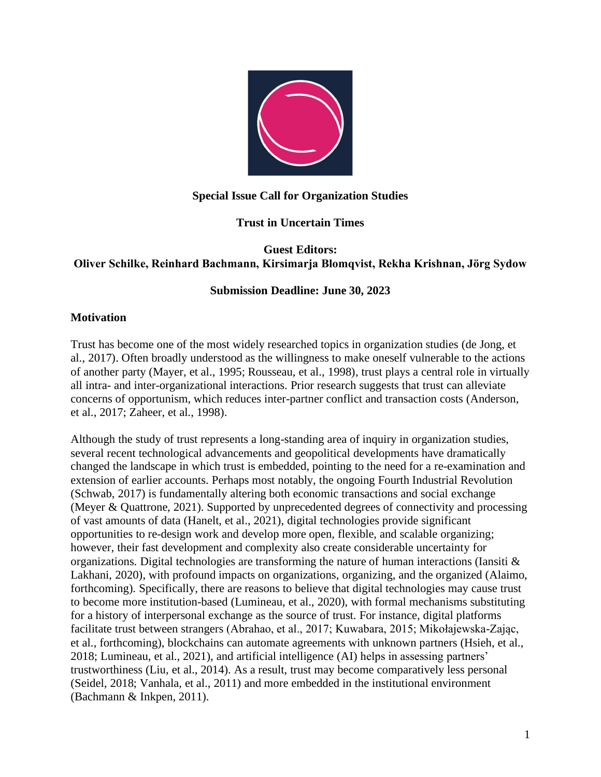

## **Special Issue Call for Organization Studies**

## **Trust in Uncertain Times**

#### **Guest Editors: Oliver Schilke, Reinhard Bachmann, Kirsimarja Blomqvist, Rekha Krishnan, Jörg Sydow**

## **Submission Deadline: June 30, 2023**

## **Motivation**

Trust has become one of the most widely researched topics in organization studies (de Jong, et al., 2017). Often broadly understood as the willingness to make oneself vulnerable to the actions of another party (Mayer, et al., 1995; Rousseau, et al., 1998), trust plays a central role in virtually all intra- and inter-organizational interactions. Prior research suggests that trust can alleviate concerns of opportunism, which reduces inter-partner conflict and transaction costs (Anderson, et al., 2017; Zaheer, et al., 1998).

Although the study of trust represents a long-standing area of inquiry in organization studies, several recent technological advancements and geopolitical developments have dramatically changed the landscape in which trust is embedded, pointing to the need for a re-examination and extension of earlier accounts. Perhaps most notably, the ongoing Fourth Industrial Revolution (Schwab, 2017) is fundamentally altering both economic transactions and social exchange (Meyer & Quattrone, 2021). Supported by unprecedented degrees of connectivity and processing of vast amounts of data (Hanelt, et al., 2021), digital technologies provide significant opportunities to re-design work and develop more open, flexible, and scalable organizing; however, their fast development and complexity also create considerable uncertainty for organizations. Digital technologies are transforming the nature of human interactions (Iansiti & Lakhani, 2020), with profound impacts on organizations, organizing, and the organized (Alaimo, forthcoming). Specifically, there are reasons to believe that digital technologies may cause trust to become more institution-based (Lumineau, et al., 2020), with formal mechanisms substituting for a history of interpersonal exchange as the source of trust. For instance, digital platforms facilitate trust between strangers (Abrahao, et al., 2017; Kuwabara, 2015; Mikołajewska-Zając, et al., forthcoming), blockchains can automate agreements with unknown partners (Hsieh, et al., 2018; Lumineau, et al., 2021), and artificial intelligence (AI) helps in assessing partners' trustworthiness (Liu, et al., 2014). As a result, trust may become comparatively less personal (Seidel, 2018; Vanhala, et al., 2011) and more embedded in the institutional environment (Bachmann & Inkpen, 2011).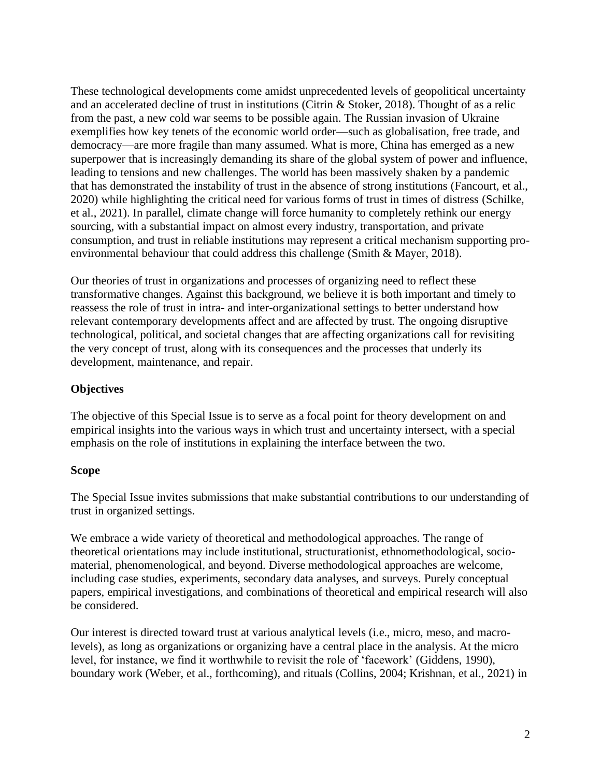These technological developments come amidst unprecedented levels of geopolitical uncertainty and an accelerated decline of trust in institutions (Citrin & Stoker, 2018). Thought of as a relic from the past, a new cold war seems to be possible again. The Russian invasion of Ukraine exemplifies how key tenets of the economic world order—such as globalisation, free trade, and democracy—are more fragile than many assumed. What is more, China has emerged as a new superpower that is increasingly demanding its share of the global system of power and influence, leading to tensions and new challenges. The world has been massively shaken by a pandemic that has demonstrated the instability of trust in the absence of strong institutions (Fancourt, et al., 2020) while highlighting the critical need for various forms of trust in times of distress (Schilke, et al., 2021). In parallel, climate change will force humanity to completely rethink our energy sourcing, with a substantial impact on almost every industry, transportation, and private consumption, and trust in reliable institutions may represent a critical mechanism supporting proenvironmental behaviour that could address this challenge (Smith & Mayer, 2018).

Our theories of trust in organizations and processes of organizing need to reflect these transformative changes. Against this background, we believe it is both important and timely to reassess the role of trust in intra- and inter-organizational settings to better understand how relevant contemporary developments affect and are affected by trust. The ongoing disruptive technological, political, and societal changes that are affecting organizations call for revisiting the very concept of trust, along with its consequences and the processes that underly its development, maintenance, and repair.

# **Objectives**

The objective of this Special Issue is to serve as a focal point for theory development on and empirical insights into the various ways in which trust and uncertainty intersect, with a special emphasis on the role of institutions in explaining the interface between the two.

# **Scope**

The Special Issue invites submissions that make substantial contributions to our understanding of trust in organized settings.

We embrace a wide variety of theoretical and methodological approaches. The range of theoretical orientations may include institutional, structurationist, ethnomethodological, sociomaterial, phenomenological, and beyond. Diverse methodological approaches are welcome, including case studies, experiments, secondary data analyses, and surveys. Purely conceptual papers, empirical investigations, and combinations of theoretical and empirical research will also be considered.

Our interest is directed toward trust at various analytical levels (i.e., micro, meso, and macrolevels), as long as organizations or organizing have a central place in the analysis. At the micro level, for instance, we find it worthwhile to revisit the role of 'facework' (Giddens, 1990), boundary work (Weber, et al., forthcoming), and rituals (Collins, 2004; Krishnan, et al., 2021) in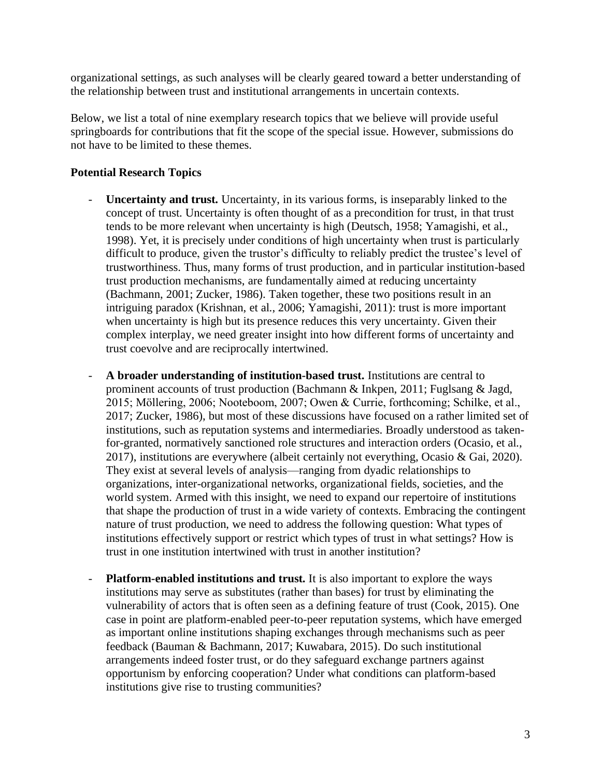organizational settings, as such analyses will be clearly geared toward a better understanding of the relationship between trust and institutional arrangements in uncertain contexts.

Below, we list a total of nine exemplary research topics that we believe will provide useful springboards for contributions that fit the scope of the special issue. However, submissions do not have to be limited to these themes.

## **Potential Research Topics**

- **Uncertainty and trust.** Uncertainty, in its various forms, is inseparably linked to the concept of trust. Uncertainty is often thought of as a precondition for trust, in that trust tends to be more relevant when uncertainty is high (Deutsch, 1958; Yamagishi, et al., 1998). Yet, it is precisely under conditions of high uncertainty when trust is particularly difficult to produce, given the trustor's difficulty to reliably predict the trustee's level of trustworthiness. Thus, many forms of trust production, and in particular institution-based trust production mechanisms, are fundamentally aimed at reducing uncertainty (Bachmann, 2001; Zucker, 1986). Taken together, these two positions result in an intriguing paradox (Krishnan, et al., 2006; Yamagishi, 2011): trust is more important when uncertainty is high but its presence reduces this very uncertainty. Given their complex interplay, we need greater insight into how different forms of uncertainty and trust coevolve and are reciprocally intertwined.
- **A broader understanding of institution-based trust.** Institutions are central to prominent accounts of trust production (Bachmann & Inkpen, 2011; Fuglsang & Jagd, 2015; Möllering, 2006; Nooteboom, 2007; Owen & Currie, forthcoming; Schilke, et al., 2017; Zucker, 1986), but most of these discussions have focused on a rather limited set of institutions, such as reputation systems and intermediaries. Broadly understood as takenfor-granted, normatively sanctioned role structures and interaction orders (Ocasio, et al., 2017), institutions are everywhere (albeit certainly not everything, Ocasio & Gai, 2020). They exist at several levels of analysis—ranging from dyadic relationships to organizations, inter-organizational networks, organizational fields, societies, and the world system. Armed with this insight, we need to expand our repertoire of institutions that shape the production of trust in a wide variety of contexts. Embracing the contingent nature of trust production, we need to address the following question: What types of institutions effectively support or restrict which types of trust in what settings? How is trust in one institution intertwined with trust in another institution?
- **Platform-enabled institutions and trust.** It is also important to explore the ways institutions may serve as substitutes (rather than bases) for trust by eliminating the vulnerability of actors that is often seen as a defining feature of trust (Cook, 2015). One case in point are platform-enabled peer-to-peer reputation systems, which have emerged as important online institutions shaping exchanges through mechanisms such as peer feedback (Bauman & Bachmann, 2017; Kuwabara, 2015). Do such institutional arrangements indeed foster trust, or do they safeguard exchange partners against opportunism by enforcing cooperation? Under what conditions can platform-based institutions give rise to trusting communities?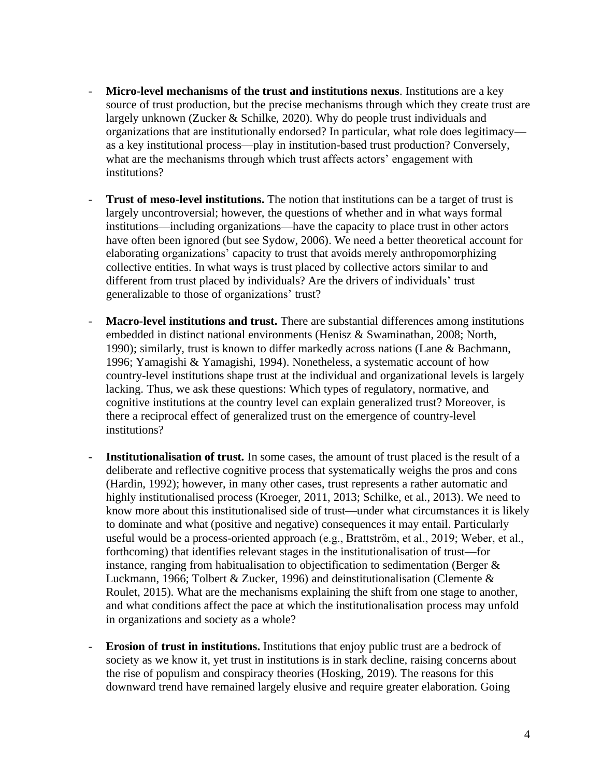- Micro-level mechanisms of the trust and institutions nexus. Institutions are a key source of trust production, but the precise mechanisms through which they create trust are largely unknown (Zucker & Schilke, 2020). Why do people trust individuals and organizations that are institutionally endorsed? In particular, what role does legitimacy as a key institutional process—play in institution-based trust production? Conversely, what are the mechanisms through which trust affects actors' engagement with institutions?
- **Trust of meso-level institutions.** The notion that institutions can be a target of trust is largely uncontroversial; however, the questions of whether and in what ways formal institutions—including organizations—have the capacity to place trust in other actors have often been ignored (but see Sydow, 2006). We need a better theoretical account for elaborating organizations' capacity to trust that avoids merely anthropomorphizing collective entities. In what ways is trust placed by collective actors similar to and different from trust placed by individuals? Are the drivers of individuals' trust generalizable to those of organizations' trust?
- **Macro-level institutions and trust.** There are substantial differences among institutions embedded in distinct national environments (Henisz & Swaminathan, 2008; North, 1990); similarly, trust is known to differ markedly across nations (Lane & Bachmann, 1996; Yamagishi & Yamagishi, 1994). Nonetheless, a systematic account of how country-level institutions shape trust at the individual and organizational levels is largely lacking. Thus, we ask these questions: Which types of regulatory, normative, and cognitive institutions at the country level can explain generalized trust? Moreover, is there a reciprocal effect of generalized trust on the emergence of country-level institutions?
- **Institutionalisation of trust.** In some cases, the amount of trust placed is the result of a deliberate and reflective cognitive process that systematically weighs the pros and cons (Hardin, 1992); however, in many other cases, trust represents a rather automatic and highly institutionalised process (Kroeger, 2011, 2013; Schilke, et al., 2013). We need to know more about this institutionalised side of trust—under what circumstances it is likely to dominate and what (positive and negative) consequences it may entail. Particularly useful would be a process-oriented approach (e.g., Brattström, et al., 2019; Weber, et al., forthcoming) that identifies relevant stages in the institutionalisation of trust—for instance, ranging from habitualisation to objectification to sedimentation (Berger & Luckmann, 1966; Tolbert & Zucker, 1996) and deinstitutionalisation (Clemente & Roulet, 2015). What are the mechanisms explaining the shift from one stage to another, and what conditions affect the pace at which the institutionalisation process may unfold in organizations and society as a whole?
- **Erosion of trust in institutions.** Institutions that enjoy public trust are a bedrock of society as we know it, yet trust in institutions is in stark decline, raising concerns about the rise of populism and conspiracy theories (Hosking, 2019). The reasons for this downward trend have remained largely elusive and require greater elaboration. Going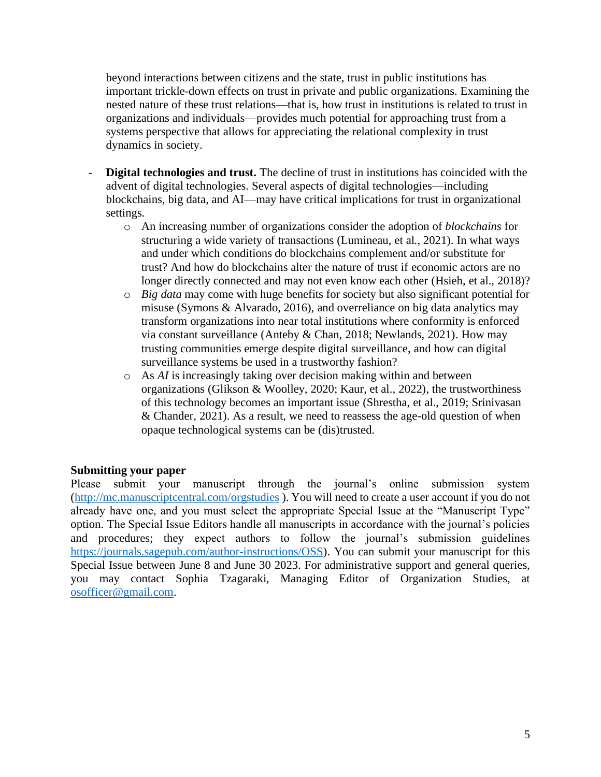beyond interactions between citizens and the state, trust in public institutions has important trickle-down effects on trust in private and public organizations. Examining the nested nature of these trust relations—that is, how trust in institutions is related to trust in organizations and individuals—provides much potential for approaching trust from a systems perspective that allows for appreciating the relational complexity in trust dynamics in society.

- Digital technologies and trust. The decline of trust in institutions has coincided with the advent of digital technologies. Several aspects of digital technologies—including blockchains, big data, and AI—may have critical implications for trust in organizational settings.
	- o An increasing number of organizations consider the adoption of *blockchains* for structuring a wide variety of transactions (Lumineau, et al., 2021). In what ways and under which conditions do blockchains complement and/or substitute for trust? And how do blockchains alter the nature of trust if economic actors are no longer directly connected and may not even know each other (Hsieh, et al., 2018)?
	- o *Big data* may come with huge benefits for society but also significant potential for misuse (Symons & Alvarado, 2016), and overreliance on big data analytics may transform organizations into near total institutions where conformity is enforced via constant surveillance (Anteby & Chan, 2018; Newlands, 2021). How may trusting communities emerge despite digital surveillance, and how can digital surveillance systems be used in a trustworthy fashion?
	- o As *AI* is increasingly taking over decision making within and between organizations (Glikson & Woolley, 2020; Kaur, et al., 2022), the trustworthiness of this technology becomes an important issue (Shrestha, et al., 2019; Srinivasan & Chander, 2021). As a result, we need to reassess the age-old question of when opaque technological systems can be (dis)trusted.

#### **Submitting your paper**

Please submit your manuscript through the journal's online submission system [\(http://mc.manuscriptcentral.com/orgstudies](http://mc.manuscriptcentral.com/orgstudies) ). You will need to create a user account if you do not already have one, and you must select the appropriate Special Issue at the "Manuscript Type" option. The Special Issue Editors handle all manuscripts in accordance with the journal's policies and procedures; they expect authors to follow the journal's submission guidelines [https://journals.sagepub.com/author-instructions/OSS\)](https://journals.sagepub.com/author-instructions/OSS). You can submit your manuscript for this Special Issue between June 8 and June 30 2023. For administrative support and general queries, you may contact Sophia Tzagaraki, Managing Editor of Organization Studies, at [osofficer@gmail.com.](mailto:osofficer@gmail.com)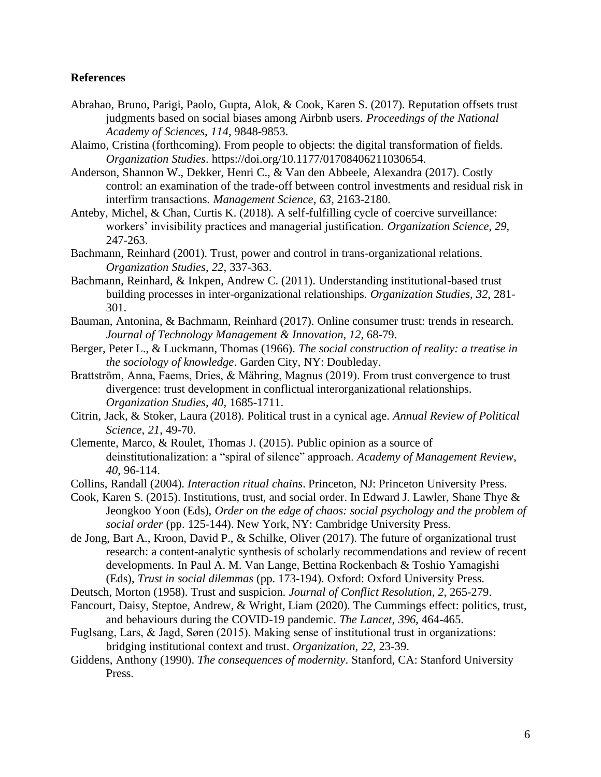#### **References**

- Abrahao, Bruno, Parigi, Paolo, Gupta, Alok, & Cook, Karen S. (2017). Reputation offsets trust judgments based on social biases among Airbnb users. *Proceedings of the National Academy of Sciences*, *114*, 9848-9853.
- Alaimo, Cristina (forthcoming). From people to objects: the digital transformation of fields. *Organization Studies*. https://doi.org/10.1177/01708406211030654.
- Anderson, Shannon W., Dekker, Henri C., & Van den Abbeele, Alexandra (2017). Costly control: an examination of the trade-off between control investments and residual risk in interfirm transactions. *Management Science*, *63*, 2163-2180.
- Anteby, Michel, & Chan, Curtis K. (2018). A self-fulfilling cycle of coercive surveillance: workers' invisibility practices and managerial justification. *Organization Science*, *29*, 247-263.
- Bachmann, Reinhard (2001). Trust, power and control in trans-organizational relations. *Organization Studies*, *22*, 337-363.
- Bachmann, Reinhard, & Inkpen, Andrew C. (2011). Understanding institutional-based trust building processes in inter-organizational relationships. *Organization Studies*, *32*, 281- 301.
- Bauman, Antonina, & Bachmann, Reinhard (2017). Online consumer trust: trends in research. *Journal of Technology Management & Innovation*, *12*, 68-79.
- Berger, Peter L., & Luckmann, Thomas (1966). *The social construction of reality: a treatise in the sociology of knowledge*. Garden City, NY: Doubleday.
- Brattström, Anna, Faems, Dries, & Mähring, Magnus (2019). From trust convergence to trust divergence: trust development in conflictual interorganizational relationships. *Organization Studies*, *40*, 1685-1711.
- Citrin, Jack, & Stoker, Laura (2018). Political trust in a cynical age. *Annual Review of Political Science*, *21*, 49-70.
- Clemente, Marco, & Roulet, Thomas J. (2015). Public opinion as a source of deinstitutionalization: a "spiral of silence" approach. *Academy of Management Review*, *40*, 96-114.
- Collins, Randall (2004). *Interaction ritual chains*. Princeton, NJ: Princeton University Press.
- Cook, Karen S. (2015). Institutions, trust, and social order. In Edward J. Lawler, Shane Thye & Jeongkoo Yoon (Eds), *Order on the edge of chaos: social psychology and the problem of social order* (pp. 125-144). New York, NY: Cambridge University Press.
- de Jong, Bart A., Kroon, David P., & Schilke, Oliver (2017). The future of organizational trust research: a content-analytic synthesis of scholarly recommendations and review of recent developments. In Paul A. M. Van Lange, Bettina Rockenbach & Toshio Yamagishi (Eds), *Trust in social dilemmas* (pp. 173-194). Oxford: Oxford University Press.
- Deutsch, Morton (1958). Trust and suspicion. *Journal of Conflict Resolution*, *2*, 265-279.
- Fancourt, Daisy, Steptoe, Andrew, & Wright, Liam (2020). The Cummings effect: politics, trust, and behaviours during the COVID-19 pandemic. *The Lancet*, *396*, 464-465.
- Fuglsang, Lars, & Jagd, Søren (2015). Making sense of institutional trust in organizations: bridging institutional context and trust. *Organization*, *22*, 23-39.
- Giddens, Anthony (1990). *The consequences of modernity*. Stanford, CA: Stanford University Press.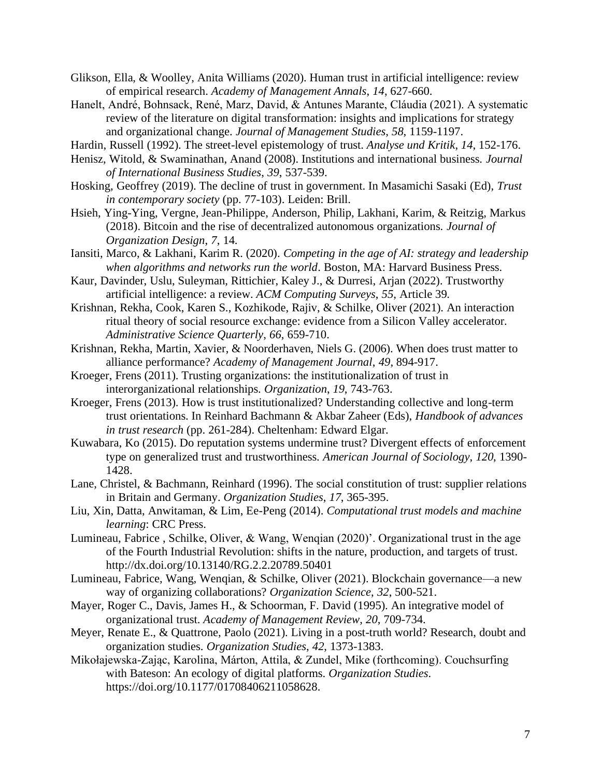- Glikson, Ella, & Woolley, Anita Williams (2020). Human trust in artificial intelligence: review of empirical research. *Academy of Management Annals*, *14*, 627-660.
- Hanelt, André, Bohnsack, René, Marz, David, & Antunes Marante, Cláudia (2021). A systematic review of the literature on digital transformation: insights and implications for strategy and organizational change. *Journal of Management Studies*, *58*, 1159-1197.
- Hardin, Russell (1992). The street-level epistemology of trust. *Analyse und Kritik*, *14*, 152-176.
- Henisz, Witold, & Swaminathan, Anand (2008). Institutions and international business. *Journal of International Business Studies*, *39*, 537-539.
- Hosking, Geoffrey (2019). The decline of trust in government. In Masamichi Sasaki (Ed), *Trust in contemporary society* (pp. 77-103). Leiden: Brill.
- Hsieh, Ying-Ying, Vergne, Jean-Philippe, Anderson, Philip, Lakhani, Karim, & Reitzig, Markus (2018). Bitcoin and the rise of decentralized autonomous organizations. *Journal of Organization Design*, *7*, 14.
- Iansiti, Marco, & Lakhani, Karim R. (2020). *Competing in the age of AI: strategy and leadership when algorithms and networks run the world*. Boston, MA: Harvard Business Press.
- Kaur, Davinder, Uslu, Suleyman, Rittichier, Kaley J., & Durresi, Arjan (2022). Trustworthy artificial intelligence: a review. *ACM Computing Surveys*, *55*, Article 39.
- Krishnan, Rekha, Cook, Karen S., Kozhikode, Rajiv, & Schilke, Oliver (2021). An interaction ritual theory of social resource exchange: evidence from a Silicon Valley accelerator. *Administrative Science Quarterly*, *66*, 659-710.
- Krishnan, Rekha, Martin, Xavier, & Noorderhaven, Niels G. (2006). When does trust matter to alliance performance? *Academy of Management Journal*, *49*, 894-917.
- Kroeger, Frens (2011). Trusting organizations: the institutionalization of trust in interorganizational relationships. *Organization*, *19*, 743-763.
- Kroeger, Frens (2013). How is trust institutionalized? Understanding collective and long-term trust orientations. In Reinhard Bachmann & Akbar Zaheer (Eds), *Handbook of advances in trust research* (pp. 261-284). Cheltenham: Edward Elgar.
- Kuwabara, Ko (2015). Do reputation systems undermine trust? Divergent effects of enforcement type on generalized trust and trustworthiness. *American Journal of Sociology*, *120*, 1390- 1428.
- Lane, Christel, & Bachmann, Reinhard (1996). The social constitution of trust: supplier relations in Britain and Germany. *Organization Studies*, *17*, 365-395.
- Liu, Xin, Datta, Anwitaman, & Lim, Ee-Peng (2014). *Computational trust models and machine learning*: CRC Press.
- Lumineau, Fabrice , Schilke, Oliver, & Wang, Wenqian (2020)'. Organizational trust in the age of the Fourth Industrial Revolution: shifts in the nature, production, and targets of trust. http://dx.doi.org/10.13140/RG.2.2.20789.50401
- Lumineau, Fabrice, Wang, Wenqian, & Schilke, Oliver (2021). Blockchain governance—a new way of organizing collaborations? *Organization Science*, *32*, 500-521.
- Mayer, Roger C., Davis, James H., & Schoorman, F. David (1995). An integrative model of organizational trust. *Academy of Management Review*, *20*, 709-734.
- Meyer, Renate E., & Quattrone, Paolo (2021). Living in a post-truth world? Research, doubt and organization studies. *Organization Studies*, *42*, 1373-1383.
- Mikołajewska-Zając, Karolina, Márton, Attila, & Zundel, Mike (forthcoming). Couchsurfing with Bateson: An ecology of digital platforms. *Organization Studies*. https://doi.org/10.1177/01708406211058628.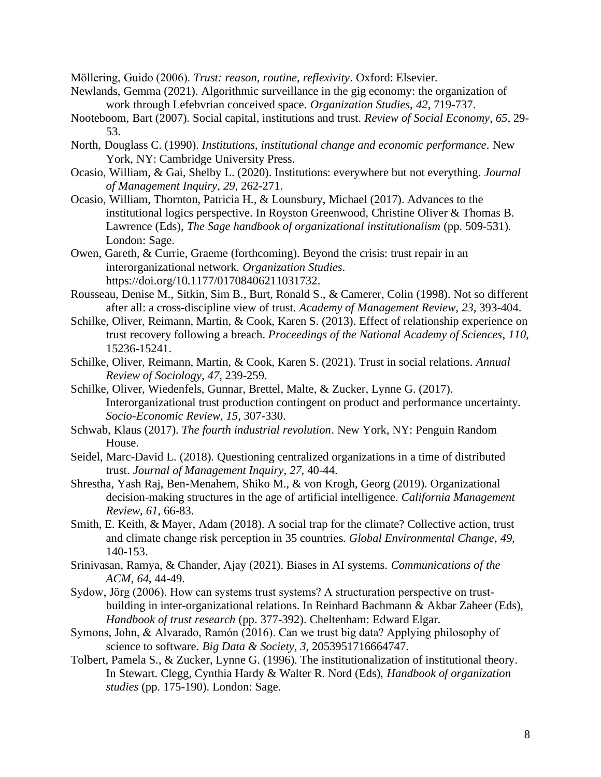Möllering, Guido (2006). *Trust: reason, routine, reflexivity*. Oxford: Elsevier.

- Newlands, Gemma (2021). Algorithmic surveillance in the gig economy: the organization of work through Lefebvrian conceived space. *Organization Studies*, *42*, 719-737.
- Nooteboom, Bart (2007). Social capital, institutions and trust. *Review of Social Economy*, *65*, 29- 53.
- North, Douglass C. (1990). *Institutions, institutional change and economic performance*. New York, NY: Cambridge University Press.
- Ocasio, William, & Gai, Shelby L. (2020). Institutions: everywhere but not everything. *Journal of Management Inquiry*, *29*, 262-271.
- Ocasio, William, Thornton, Patricia H., & Lounsbury, Michael (2017). Advances to the institutional logics perspective. In Royston Greenwood, Christine Oliver & Thomas B. Lawrence (Eds), *The Sage handbook of organizational institutionalism* (pp. 509-531). London: Sage.
- Owen, Gareth, & Currie, Graeme (forthcoming). Beyond the crisis: trust repair in an interorganizational network. *Organization Studies*. https://doi.org/10.1177/01708406211031732.
- Rousseau, Denise M., Sitkin, Sim B., Burt, Ronald S., & Camerer, Colin (1998). Not so different after all: a cross-discipline view of trust. *Academy of Management Review*, *23*, 393-404.
- Schilke, Oliver, Reimann, Martin, & Cook, Karen S. (2013). Effect of relationship experience on trust recovery following a breach. *Proceedings of the National Academy of Sciences*, *110*, 15236-15241.
- Schilke, Oliver, Reimann, Martin, & Cook, Karen S. (2021). Trust in social relations. *Annual Review of Sociology*, *47*, 239-259.
- Schilke, Oliver, Wiedenfels, Gunnar, Brettel, Malte, & Zucker, Lynne G. (2017). Interorganizational trust production contingent on product and performance uncertainty. *Socio-Economic Review*, *15*, 307-330.
- Schwab, Klaus (2017). *The fourth industrial revolution*. New York, NY: Penguin Random House.
- Seidel, Marc-David L. (2018). Questioning centralized organizations in a time of distributed trust. *Journal of Management Inquiry*, *27*, 40-44.
- Shrestha, Yash Raj, Ben-Menahem, Shiko M., & von Krogh, Georg (2019). Organizational decision-making structures in the age of artificial intelligence. *California Management Review*, *61*, 66-83.
- Smith, E. Keith, & Mayer, Adam (2018). A social trap for the climate? Collective action, trust and climate change risk perception in 35 countries. *Global Environmental Change*, *49*, 140-153.
- Srinivasan, Ramya, & Chander, Ajay (2021). Biases in AI systems. *Communications of the ACM*, *64*, 44-49.
- Sydow, Jörg (2006). How can systems trust systems? A structuration perspective on trustbuilding in inter-organizational relations. In Reinhard Bachmann & Akbar Zaheer (Eds), *Handbook of trust research* (pp. 377-392). Cheltenham: Edward Elgar.
- Symons, John, & Alvarado, Ramón (2016). Can we trust big data? Applying philosophy of science to software. *Big Data & Society*, *3*, 2053951716664747.
- Tolbert, Pamela S., & Zucker, Lynne G. (1996). The institutionalization of institutional theory. In Stewart. Clegg, Cynthia Hardy & Walter R. Nord (Eds), *Handbook of organization studies* (pp. 175-190). London: Sage.